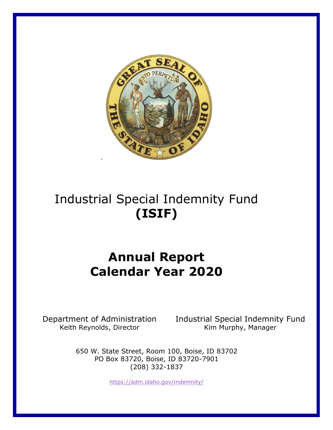

# Industrial Special Indemnity Fund **(ISIF)**

# **Annual Report Calendar Year 2020**

Department of Administration Industrial Special Indemnity Fund Keith Reynolds, Director Kim Murphy, Manager

> 650 W. State Street, Room 100, Boise, ID 83702 PO Box 83720, Boise, ID 83720-7901 (208) 332-1837

> > <https://adm.idaho.gov/indemnity/>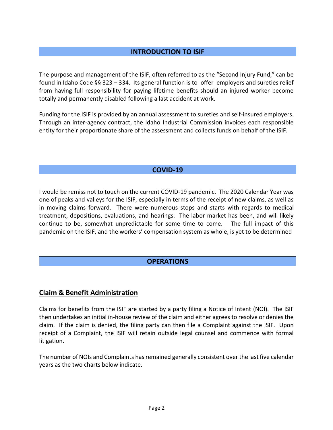### **INTRODUCTION TO ISIF**

The purpose and management of the ISIF, often referred to as the "Second Injury Fund," can be found in Idaho Code §§ 323 – 334. Its general function is to offer employers and sureties relief from having full responsibility for paying lifetime benefits should an injured worker become totally and permanently disabled following a last accident at work.

Funding for the ISIF is provided by an annual assessment to sureties and self-insured employers. Through an inter-agency contract, the Idaho Industrial Commission invoices each responsible entity for their proportionate share of the assessment and collects funds on behalf of the ISIF.

#### **COVID-19**

I would be remiss not to touch on the current COVID-19 pandemic. The 2020 Calendar Year was one of peaks and valleys for the ISIF, especially in terms of the receipt of new claims, as well as in moving claims forward. There were numerous stops and starts with regards to medical treatment, depositions, evaluations, and hearings. The labor market has been, and will likely continue to be, somewhat unpredictable for some time to come. The full impact of this pandemic on the ISIF, and the workers' compensation system as whole, is yet to be determined

#### **OPERATIONS**

#### **Claim & Benefit Administration**

Claims for benefits from the ISIF are started by a party filing a Notice of Intent (NOI). The ISIF then undertakes an initial in-house review of the claim and either agrees to resolve or denies the claim. If the claim is denied, the filing party can then file a Complaint against the ISIF. Upon receipt of a Complaint, the ISIF will retain outside legal counsel and commence with formal litigation.

The number of NOIs and Complaints has remained generally consistent over the last five calendar years as the two charts below indicate.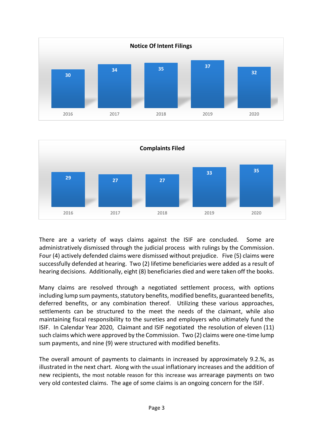



There are a variety of ways claims against the ISIF are concluded. Some are administratively dismissed through the judicial process with rulings by the Commission. Four (4) actively defended claims were dismissed without prejudice. Five (5) claims were successfully defended at hearing. Two (2) lifetime beneficiaries were added as a result of hearing decisions. Additionally, eight (8) beneficiaries died and were taken off the books.

Many claims are resolved through a negotiated settlement process, with options including lump sum payments, statutory benefits, modified benefits, guaranteed benefits, deferred benefits, or any combination thereof. Utilizing these various approaches, settlements can be structured to the meet the needs of the claimant, while also maintaining fiscal responsibility to the sureties and employers who ultimately fund the ISIF. In Calendar Year 2020, Claimant and ISIF negotiated the resolution of eleven (11) such claims which were approved by the Commission. Two (2) claims were one-time lump sum payments, and nine (9) were structured with modified benefits.

The overall amount of payments to claimants in increased by approximately 9.2.%, as illustrated in the next chart. Along with the usual inflationary increases and the addition of new recipients, the most notable reason for this increase was arrearage payments on two very old contested claims. The age of some claims is an ongoing concern for the ISIF.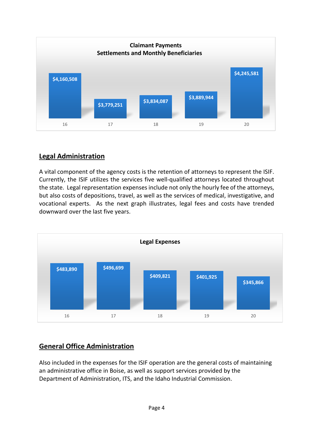

### **Legal Administration**

A vital component of the agency costs is the retention of attorneys to represent the ISIF. Currently, the ISIF utilizes the services five well-qualified attorneys located throughout the state. Legal representation expenses include not only the hourly fee of the attorneys, but also costs of depositions, travel, as well as the services of medical, investigative, and vocational experts. As the next graph illustrates, legal fees and costs have trended downward over the last five years.



## **General Office Administration**

Also included in the expenses for the ISIF operation are the general costs of maintaining an administrative office in Boise, as well as support services provided by the Department of Administration, ITS, and the Idaho Industrial Commission.